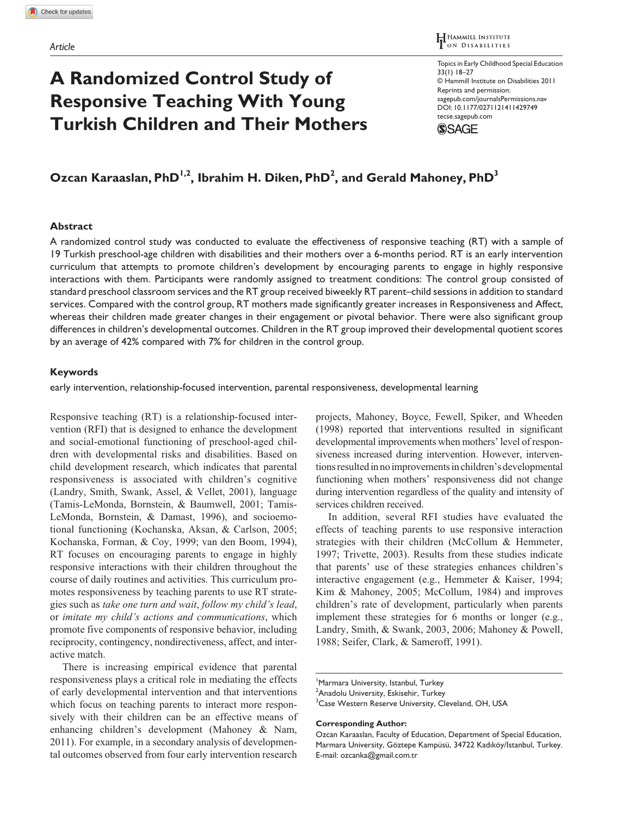# **A Randomized Control Study of Responsive Teaching With Young Turkish Children and Their Mothers**

Topics in Early Childhood Special Education 33(1) 18–27 © Hammill Institute on Disabilities 2011 Reprints and permission: sagepub.com/journalsPermissions.nav DOI: 10.1177/0271121411429749 tecse.sagepub.com **SSAGE** 

 $O$ zcan Karaaslan, PhD<sup>1,2</sup>, Ibrahim H. Diken, PhD<sup>2</sup>, and Gerald Mahoney, PhD<sup>3</sup>

### **Abstract**

A randomized control study was conducted to evaluate the effectiveness of responsive teaching (RT) with a sample of 19 Turkish preschool-age children with disabilities and their mothers over a 6-months period. RT is an early intervention curriculum that attempts to promote children's development by encouraging parents to engage in highly responsive interactions with them. Participants were randomly assigned to treatment conditions: The control group consisted of standard preschool classroom services and the RT group received biweekly RT parent–child sessions in addition to standard services. Compared with the control group, RT mothers made significantly greater increases in Responsiveness and Affect, whereas their children made greater changes in their engagement or pivotal behavior. There were also significant group differences in children's developmental outcomes. Children in the RT group improved their developmental quotient scores by an average of 42% compared with 7% for children in the control group.

#### **Keywords**

early intervention, relationship-focused intervention, parental responsiveness, developmental learning

Responsive teaching (RT) is a relationship-focused intervention (RFI) that is designed to enhance the development and social-emotional functioning of preschool-aged children with developmental risks and disabilities. Based on child development research, which indicates that parental responsiveness is associated with children's cognitive (Landry, Smith, Swank, Assel, & Vellet, 2001), language (Tamis-LeMonda, Bornstein, & Baumwell, 2001; Tamis-LeMonda, Bornstein, & Damast, 1996), and socioemotional functioning (Kochanska, Aksan, & Carlson, 2005; Kochanska, Forman, & Coy, 1999; van den Boom, 1994), RT focuses on encouraging parents to engage in highly responsive interactions with their children throughout the course of daily routines and activities. This curriculum promotes responsiveness by teaching parents to use RT strategies such as *take one turn and wait*, *follow my child's lead*, or *imitate my child's actions and communications*, which promote five components of responsive behavior, including reciprocity, contingency, nondirectiveness, affect, and interactive match.

There is increasing empirical evidence that parental responsiveness plays a critical role in mediating the effects of early developmental intervention and that interventions which focus on teaching parents to interact more responsively with their children can be an effective means of enhancing children's development (Mahoney & Nam, 2011). For example, in a secondary analysis of developmental outcomes observed from four early intervention research

projects, Mahoney, Boyce, Fewell, Spiker, and Wheeden (1998) reported that interventions resulted in significant developmental improvements when mothers' level of responsiveness increased during intervention. However, interventions resulted in no improvements in children's developmental functioning when mothers' responsiveness did not change during intervention regardless of the quality and intensity of services children received.

In addition, several RFI studies have evaluated the effects of teaching parents to use responsive interaction strategies with their children (McCollum & Hemmeter, 1997; Trivette, 2003). Results from these studies indicate that parents' use of these strategies enhances children's interactive engagement (e.g., Hemmeter & Kaiser, 1994; Kim & Mahoney, 2005; McCollum, 1984) and improves children's rate of development, particularly when parents implement these strategies for 6 months or longer (e.g., Landry, Smith, & Swank, 2003, 2006; Mahoney & Powell, 1988; Seifer, Clark, & Sameroff, 1991).

**Corresponding Author:**

<sup>1</sup> Marmara University, Istanbul, Turkey

<sup>&</sup>lt;sup>2</sup>Anadolu University, Eskisehir, Turkey

 $\rm{^{3}Cas}$  Western Reserve University, Cleveland, OH, USA

Ozcan Karaaslan, Faculty of Education, Department of Special Education, Marmara University, Göztepe Kampüsü, 34722 Kadıköy/Istanbul, Turkey. E-mail: ozcanka@gmail.com.tr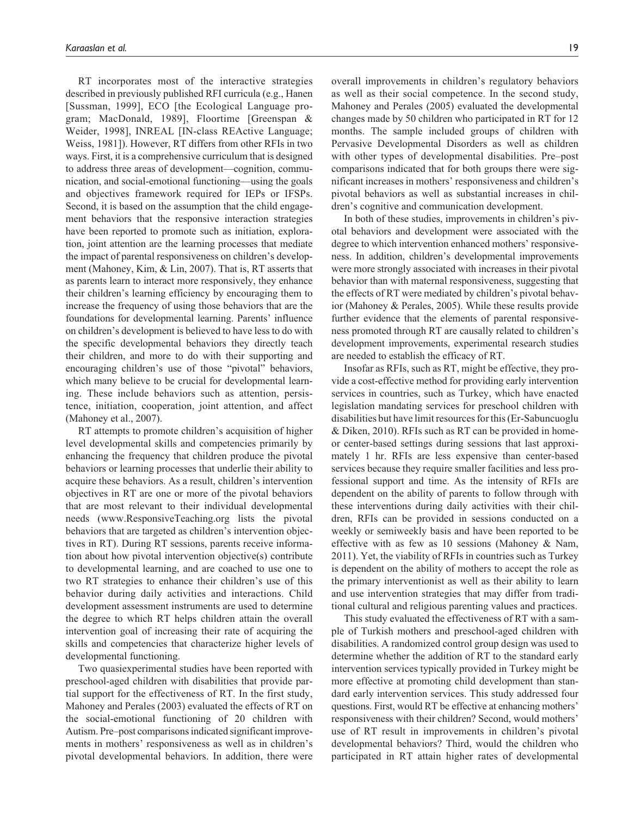RT incorporates most of the interactive strategies described in previously published RFI curricula (e.g., Hanen [Sussman, 1999], ECO [the Ecological Language program; MacDonald, 1989], Floortime [Greenspan & Weider, 1998], INREAL [IN-class REActive Language; Weiss, 1981]). However, RT differs from other RFIs in two ways. First, it is a comprehensive curriculum that is designed to address three areas of development—cognition, communication, and social-emotional functioning—using the goals and objectives framework required for IEPs or IFSPs. Second, it is based on the assumption that the child engagement behaviors that the responsive interaction strategies have been reported to promote such as initiation, exploration, joint attention are the learning processes that mediate the impact of parental responsiveness on children's development (Mahoney, Kim, & Lin, 2007). That is, RT asserts that as parents learn to interact more responsively, they enhance their children's learning efficiency by encouraging them to increase the frequency of using those behaviors that are the foundations for developmental learning. Parents' influence on children's development is believed to have less to do with the specific developmental behaviors they directly teach their children, and more to do with their supporting and encouraging children's use of those "pivotal" behaviors, which many believe to be crucial for developmental learning. These include behaviors such as attention, persistence, initiation, cooperation, joint attention, and affect (Mahoney et al., 2007).

RT attempts to promote children's acquisition of higher level developmental skills and competencies primarily by enhancing the frequency that children produce the pivotal behaviors or learning processes that underlie their ability to acquire these behaviors. As a result, children's intervention objectives in RT are one or more of the pivotal behaviors that are most relevant to their individual developmental needs (www.ResponsiveTeaching.org lists the pivotal behaviors that are targeted as children's intervention objectives in RT). During RT sessions, parents receive information about how pivotal intervention objective(s) contribute to developmental learning, and are coached to use one to two RT strategies to enhance their children's use of this behavior during daily activities and interactions. Child development assessment instruments are used to determine the degree to which RT helps children attain the overall intervention goal of increasing their rate of acquiring the skills and competencies that characterize higher levels of developmental functioning.

Two quasiexperimental studies have been reported with preschool-aged children with disabilities that provide partial support for the effectiveness of RT. In the first study, Mahoney and Perales (2003) evaluated the effects of RT on the social-emotional functioning of 20 children with Autism. Pre–post comparisons indicated significant improvements in mothers' responsiveness as well as in children's pivotal developmental behaviors. In addition, there were

overall improvements in children's regulatory behaviors as well as their social competence. In the second study, Mahoney and Perales (2005) evaluated the developmental changes made by 50 children who participated in RT for 12 months. The sample included groups of children with Pervasive Developmental Disorders as well as children with other types of developmental disabilities. Pre–post comparisons indicated that for both groups there were significant increases in mothers' responsiveness and children's pivotal behaviors as well as substantial increases in children's cognitive and communication development.

In both of these studies, improvements in children's pivotal behaviors and development were associated with the degree to which intervention enhanced mothers' responsiveness. In addition, children's developmental improvements were more strongly associated with increases in their pivotal behavior than with maternal responsiveness, suggesting that the effects of RT were mediated by children's pivotal behavior (Mahoney & Perales, 2005). While these results provide further evidence that the elements of parental responsiveness promoted through RT are causally related to children's development improvements, experimental research studies are needed to establish the efficacy of RT.

Insofar as RFIs, such as RT, might be effective, they provide a cost-effective method for providing early intervention services in countries, such as Turkey, which have enacted legislation mandating services for preschool children with disabilities but have limit resources for this (Er-Sabuncuoglu & Diken, 2010). RFIs such as RT can be provided in homeor center-based settings during sessions that last approximately 1 hr. RFIs are less expensive than center-based services because they require smaller facilities and less professional support and time. As the intensity of RFIs are dependent on the ability of parents to follow through with these interventions during daily activities with their children, RFIs can be provided in sessions conducted on a weekly or semiweekly basis and have been reported to be effective with as few as 10 sessions (Mahoney & Nam, 2011). Yet, the viability of RFIs in countries such as Turkey is dependent on the ability of mothers to accept the role as the primary interventionist as well as their ability to learn and use intervention strategies that may differ from traditional cultural and religious parenting values and practices.

This study evaluated the effectiveness of RT with a sample of Turkish mothers and preschool-aged children with disabilities. A randomized control group design was used to determine whether the addition of RT to the standard early intervention services typically provided in Turkey might be more effective at promoting child development than standard early intervention services. This study addressed four questions. First, would RT be effective at enhancing mothers' responsiveness with their children? Second, would mothers' use of RT result in improvements in children's pivotal developmental behaviors? Third, would the children who participated in RT attain higher rates of developmental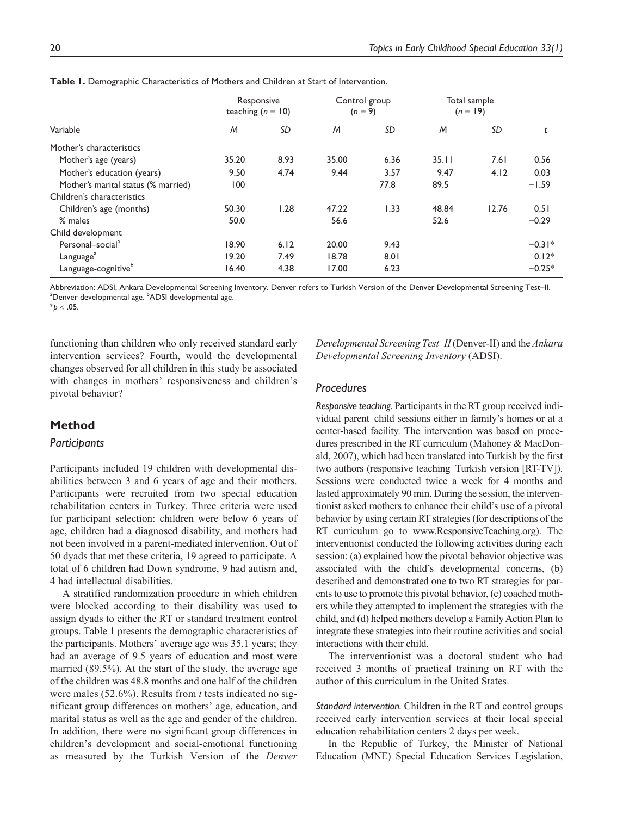|                                     | Responsive<br>teaching $(n = 10)$ |      |       | Control group<br>$(n = 9)$ | Total sample<br>$(n = 19)$ |       |          |
|-------------------------------------|-----------------------------------|------|-------|----------------------------|----------------------------|-------|----------|
| Variable                            | M                                 | SD   | M     | SD                         | M                          | SD    | t        |
| Mother's characteristics            |                                   |      |       |                            |                            |       |          |
| Mother's age (years)                | 35.20                             | 8.93 | 35.00 | 6.36                       | 35.11                      | 7.61  | 0.56     |
| Mother's education (years)          | 9.50                              | 4.74 | 9.44  | 3.57                       | 9.47                       | 4.12  | 0.03     |
| Mother's marital status (% married) | 100                               |      |       | 77.8                       | 89.5                       |       | $-1.59$  |
| Children's characteristics          |                                   |      |       |                            |                            |       |          |
| Children's age (months)             | 50.30                             | 1.28 | 47.22 | 1.33                       | 48.84                      | 12.76 | 0.51     |
| % males                             | 50.0                              |      | 56.6  |                            | 52.6                       |       | $-0.29$  |
| Child development                   |                                   |      |       |                            |                            |       |          |
| Personal-social <sup>a</sup>        | 18.90                             | 6.12 | 20.00 | 9.43                       |                            |       | $-0.31*$ |
| Language <sup>a</sup>               | 19.20                             | 7.49 | 18.78 | 8.01                       |                            |       | $0.12*$  |
| Language-cognitive <sup>b</sup>     | 16.40                             | 4.38 | 17.00 | 6.23                       |                            |       | $-0.25*$ |

**Table 1.** Demographic Characteristics of Mothers and Children at Start of Intervention.

Abbreviation: ADSI, Ankara Developmental Screening Inventory. Denver refers to Turkish Version of the Denver Developmental Screening Test–II. <sup>a</sup>Denver developmental age. <sup>b</sup>ADSI developmental age.

 $*$ *p* < .05.

functioning than children who only received standard early intervention services? Fourth, would the developmental changes observed for all children in this study be associated with changes in mothers' responsiveness and children's pivotal behavior?

## **Method**

## *Participants*

Participants included 19 children with developmental disabilities between 3 and 6 years of age and their mothers. Participants were recruited from two special education rehabilitation centers in Turkey. Three criteria were used for participant selection: children were below 6 years of age, children had a diagnosed disability, and mothers had not been involved in a parent-mediated intervention. Out of 50 dyads that met these criteria, 19 agreed to participate. A total of 6 children had Down syndrome, 9 had autism and, 4 had intellectual disabilities.

A stratified randomization procedure in which children were blocked according to their disability was used to assign dyads to either the RT or standard treatment control groups. Table 1 presents the demographic characteristics of the participants. Mothers' average age was 35.1 years; they had an average of 9.5 years of education and most were married (89.5%). At the start of the study, the average age of the children was 48.8 months and one half of the children were males (52.6%). Results from *t* tests indicated no significant group differences on mothers' age, education, and marital status as well as the age and gender of the children. In addition, there were no significant group differences in children's development and social-emotional functioning as measured by the Turkish Version of the *Denver* 

*Developmental Screening Test–II* (Denver-II) and the *Ankara Developmental Screening Inventory* (ADSI).

## *Procedures*

*Responsive teaching.* Participants in the RT group received individual parent–child sessions either in family's homes or at a center-based facility. The intervention was based on procedures prescribed in the RT curriculum (Mahoney & MacDonald, 2007), which had been translated into Turkish by the first two authors (responsive teaching–Turkish version [RT-TV]). Sessions were conducted twice a week for 4 months and lasted approximately 90 min. During the session, the interventionist asked mothers to enhance their child's use of a pivotal behavior by using certain RT strategies (for descriptions of the RT curriculum go to www.ResponsiveTeaching.org). The interventionist conducted the following activities during each session: (a) explained how the pivotal behavior objective was associated with the child's developmental concerns, (b) described and demonstrated one to two RT strategies for parents to use to promote this pivotal behavior, (c) coached mothers while they attempted to implement the strategies with the child, and (d) helped mothers develop a Family Action Plan to integrate these strategies into their routine activities and social interactions with their child.

The interventionist was a doctoral student who had received 3 months of practical training on RT with the author of this curriculum in the United States.

*Standard intervention.* Children in the RT and control groups received early intervention services at their local special education rehabilitation centers 2 days per week.

In the Republic of Turkey, the Minister of National Education (MNE) Special Education Services Legislation,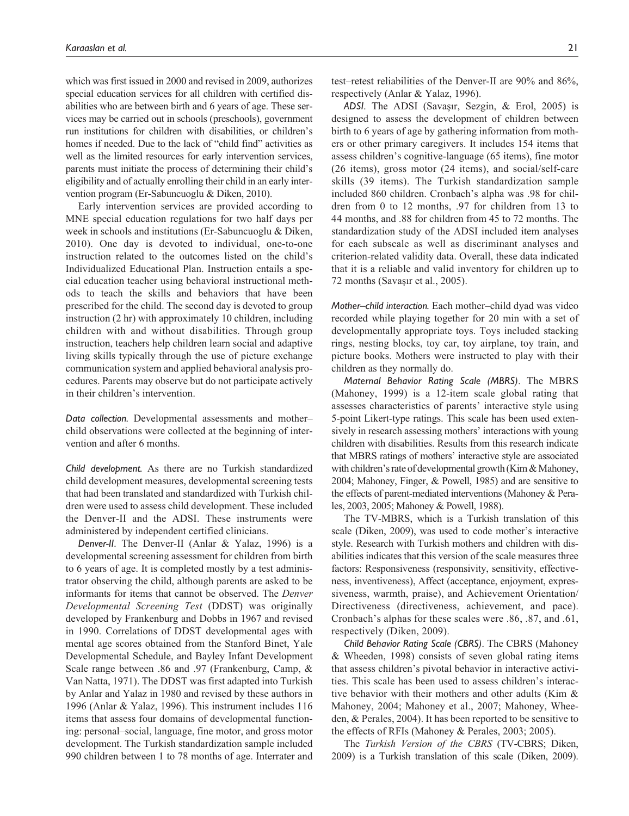which was first issued in 2000 and revised in 2009, authorizes special education services for all children with certified disabilities who are between birth and 6 years of age. These services may be carried out in schools (preschools), government run institutions for children with disabilities, or children's homes if needed. Due to the lack of "child find" activities as well as the limited resources for early intervention services, parents must initiate the process of determining their child's eligibility and of actually enrolling their child in an early intervention program (Er-Sabuncuoglu & Diken, 2010).

Early intervention services are provided according to MNE special education regulations for two half days per week in schools and institutions (Er-Sabuncuoglu & Diken, 2010). One day is devoted to individual, one-to-one instruction related to the outcomes listed on the child's Individualized Educational Plan. Instruction entails a special education teacher using behavioral instructional methods to teach the skills and behaviors that have been prescribed for the child. The second day is devoted to group instruction (2 hr) with approximately 10 children, including children with and without disabilities. Through group instruction, teachers help children learn social and adaptive living skills typically through the use of picture exchange communication system and applied behavioral analysis procedures. Parents may observe but do not participate actively in their children's intervention.

*Data collection.* Developmental assessments and mother– child observations were collected at the beginning of intervention and after 6 months.

*Child development.* As there are no Turkish standardized child development measures, developmental screening tests that had been translated and standardized with Turkish children were used to assess child development. These included the Denver-II and the ADSI. These instruments were administered by independent certified clinicians.

*Denver-II*. The Denver-II (Anlar & Yalaz, 1996) is a developmental screening assessment for children from birth to 6 years of age. It is completed mostly by a test administrator observing the child, although parents are asked to be informants for items that cannot be observed. The *Denver Developmental Screening Test* (DDST) was originally developed by Frankenburg and Dobbs in 1967 and revised in 1990. Correlations of DDST developmental ages with mental age scores obtained from the Stanford Binet, Yale Developmental Schedule, and Bayley Infant Development Scale range between .86 and .97 (Frankenburg, Camp, & Van Natta, 1971). The DDST was first adapted into Turkish by Anlar and Yalaz in 1980 and revised by these authors in 1996 (Anlar & Yalaz, 1996). This instrument includes 116 items that assess four domains of developmental functioning: personal–social, language, fine motor, and gross motor development. The Turkish standardization sample included 990 children between 1 to 78 months of age. Interrater and

test–retest reliabilities of the Denver-II are 90% and 86%, respectively (Anlar & Yalaz, 1996).

*ADSI*. The ADSI (Savaşır, Sezgin, & Erol, 2005) is designed to assess the development of children between birth to 6 years of age by gathering information from mothers or other primary caregivers. It includes 154 items that assess children's cognitive-language (65 items), fine motor (26 items), gross motor (24 items), and social/self-care skills (39 items). The Turkish standardization sample included 860 children. Cronbach's alpha was .98 for children from 0 to 12 months, .97 for children from 13 to 44 months, and .88 for children from 45 to 72 months. The standardization study of the ADSI included item analyses for each subscale as well as discriminant analyses and criterion-related validity data. Overall, these data indicated that it is a reliable and valid inventory for children up to 72 months (Savaşır et al., 2005).

*Mother–child interaction.* Each mother–child dyad was video recorded while playing together for 20 min with a set of developmentally appropriate toys. Toys included stacking rings, nesting blocks, toy car, toy airplane, toy train, and picture books. Mothers were instructed to play with their children as they normally do.

*Maternal Behavior Rating Scale (MBRS)*. The MBRS (Mahoney, 1999) is a 12-item scale global rating that assesses characteristics of parents' interactive style using 5-point Likert-type ratings. This scale has been used extensively in research assessing mothers' interactions with young children with disabilities. Results from this research indicate that MBRS ratings of mothers' interactive style are associated with children's rate of developmental growth (Kim & Mahoney, 2004; Mahoney, Finger, & Powell, 1985) and are sensitive to the effects of parent-mediated interventions (Mahoney & Perales, 2003, 2005; Mahoney & Powell, 1988).

The TV-MBRS, which is a Turkish translation of this scale (Diken, 2009), was used to code mother's interactive style. Research with Turkish mothers and children with disabilities indicates that this version of the scale measures three factors: Responsiveness (responsivity, sensitivity, effectiveness, inventiveness), Affect (acceptance, enjoyment, expressiveness, warmth, praise), and Achievement Orientation/ Directiveness (directiveness, achievement, and pace). Cronbach's alphas for these scales were .86, .87, and .61, respectively (Diken, 2009).

*Child Behavior Rating Scale (CBRS)*. The CBRS (Mahoney & Wheeden, 1998) consists of seven global rating items that assess children's pivotal behavior in interactive activities. This scale has been used to assess children's interactive behavior with their mothers and other adults (Kim & Mahoney, 2004; Mahoney et al., 2007; Mahoney, Wheeden, & Perales, 2004). It has been reported to be sensitive to the effects of RFIs (Mahoney & Perales, 2003; 2005).

The *Turkish Version of the CBRS* (TV-CBRS; Diken, 2009) is a Turkish translation of this scale (Diken, 2009).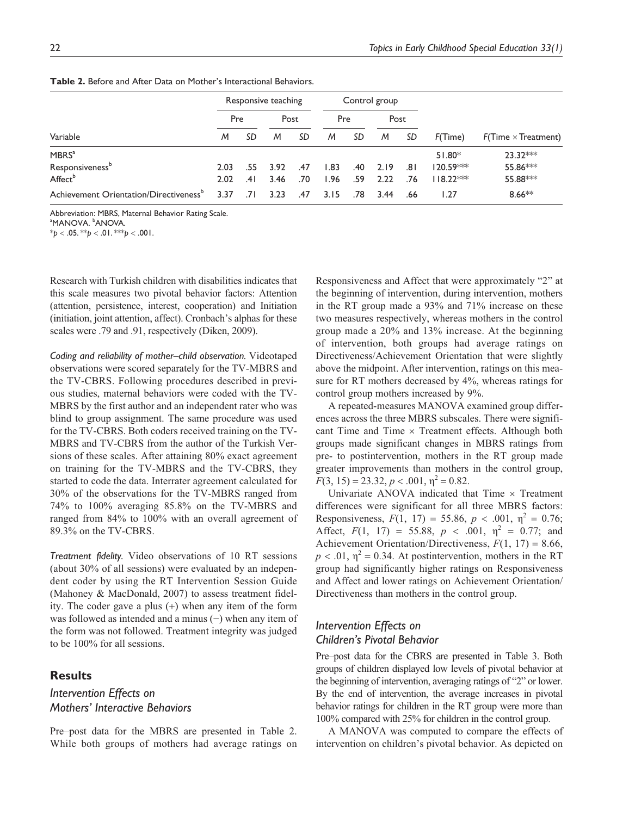|                                                    | Responsive teaching |     |          |     | Control group |     |      |      |             |                               |  |
|----------------------------------------------------|---------------------|-----|----------|-----|---------------|-----|------|------|-------------|-------------------------------|--|
|                                                    | Pre                 |     | Post     |     | Pre           |     | Post |      |             |                               |  |
| Variable                                           | M                   | SD  | M        | SD  | M             | SD  | M    | SD   | F(Time)     | $F$ (Time $\times$ Treatment) |  |
| <b>MBRS</b> <sup>a</sup>                           |                     |     |          |     |               |     |      |      | $51.80*$    | $23.32***$                    |  |
| Responsiveness <sup>b</sup>                        | 2.03                |     | .55 3.92 | .47 | 1.83          | .40 | 2.19 | ا 8. | $120.59***$ | 55.86***                      |  |
| Affect <sup>b</sup>                                | 2.02                | .41 | 3.46     | .70 | 1.96          | .59 | 2.22 | .76  | $118.22***$ | 55.88***                      |  |
| Achievement Orientation/Directiveness <sup>b</sup> | 3.37                | .71 | 3.23     | .47 | 3.15          | .78 | 3.44 | .66  | 1.27        | $8.66***$                     |  |

**Table 2.** Before and After Data on Mother's Interactional Behaviors.

Abbreviation: MBRS, Maternal Behavior Rating Scale.

<sup>a</sup>MANOVA. <sup>b</sup>ANOVA.

\**p* < .05. \*\**p* < .01. \*\*\**p* < .001.

Research with Turkish children with disabilities indicates that this scale measures two pivotal behavior factors: Attention (attention, persistence, interest, cooperation) and Initiation (initiation, joint attention, affect). Cronbach's alphas for these scales were .79 and .91, respectively (Diken, 2009).

*Coding and reliability of mother–child observation.* Videotaped observations were scored separately for the TV-MBRS and the TV-CBRS. Following procedures described in previous studies, maternal behaviors were coded with the TV-MBRS by the first author and an independent rater who was blind to group assignment. The same procedure was used for the TV-CBRS. Both coders received training on the TV-MBRS and TV-CBRS from the author of the Turkish Versions of these scales. After attaining 80% exact agreement on training for the TV-MBRS and the TV-CBRS, they started to code the data. Interrater agreement calculated for 30% of the observations for the TV-MBRS ranged from 74% to 100% averaging 85.8% on the TV-MBRS and ranged from 84% to 100% with an overall agreement of 89.3% on the TV-CBRS.

*Treatment fidelity.* Video observations of 10 RT sessions (about 30% of all sessions) were evaluated by an independent coder by using the RT Intervention Session Guide (Mahoney & MacDonald, 2007) to assess treatment fidelity. The coder gave a plus (+) when any item of the form was followed as intended and a minus (−) when any item of the form was not followed. Treatment integrity was judged to be 100% for all sessions.

# **Results**

# *Intervention Effects on Mothers' Interactive Behaviors*

Pre–post data for the MBRS are presented in Table 2. While both groups of mothers had average ratings on Responsiveness and Affect that were approximately "2" at the beginning of intervention, during intervention, mothers in the RT group made a 93% and 71% increase on these two measures respectively, whereas mothers in the control group made a 20% and 13% increase. At the beginning of intervention, both groups had average ratings on Directiveness/Achievement Orientation that were slightly above the midpoint. After intervention, ratings on this measure for RT mothers decreased by 4%, whereas ratings for control group mothers increased by 9%.

A repeated-measures MANOVA examined group differences across the three MBRS subscales. There were significant Time and Time  $\times$  Treatment effects. Although both groups made significant changes in MBRS ratings from pre- to postintervention, mothers in the RT group made greater improvements than mothers in the control group,  $F(3, 15) = 23.32, p < .001, \eta^2 = 0.82.$ 

Univariate ANOVA indicated that Time  $\times$  Treatment differences were significant for all three MBRS factors: Responsiveness,  $F(1, 17) = 55.86, p < .001, \eta^2 = 0.76;$ Affect,  $F(1, 17) = 55.88, p < .001, \eta^2 = 0.77$ ; and Achievement Orientation/Directiveness, *F*(1, 17) = 8.66,  $p < .01$ ,  $\eta^2 = 0.34$ . At postintervention, mothers in the RT group had significantly higher ratings on Responsiveness and Affect and lower ratings on Achievement Orientation/ Directiveness than mothers in the control group.

# *Intervention Effects on Children's Pivotal Behavior*

Pre–post data for the CBRS are presented in Table 3. Both groups of children displayed low levels of pivotal behavior at the beginning of intervention, averaging ratings of "2" or lower. By the end of intervention, the average increases in pivotal behavior ratings for children in the RT group were more than 100% compared with 25% for children in the control group.

A MANOVA was computed to compare the effects of intervention on children's pivotal behavior. As depicted on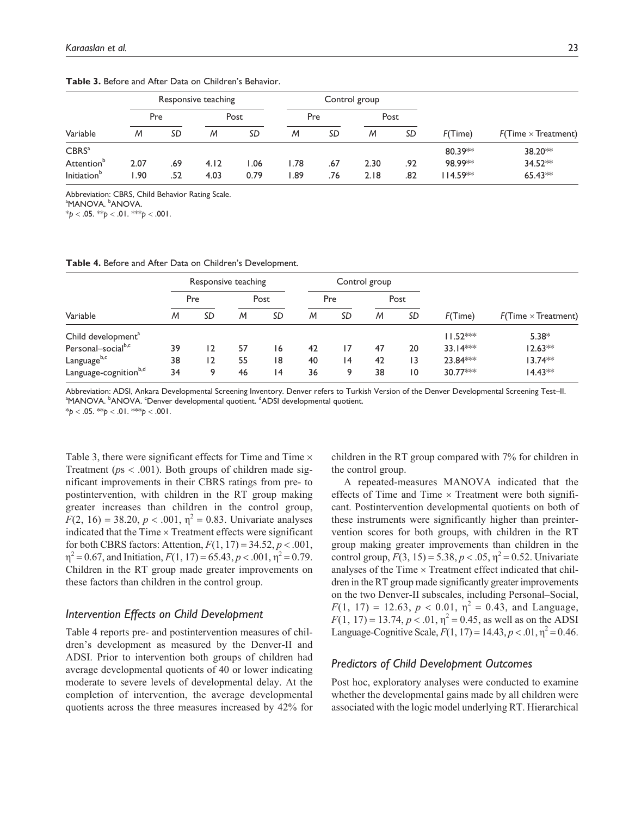| Variable                |      | Responsive teaching |      |       |       |     | Control group |      |            |                               |  |
|-------------------------|------|---------------------|------|-------|-------|-----|---------------|------|------------|-------------------------------|--|
|                         |      | Pre                 |      | Post  |       | Pre |               | Post |            |                               |  |
|                         | M    | SD                  | M    | SD    | M     | SD  | M             | SD   | F(Time)    | $F$ (Time $\times$ Treatment) |  |
| CBRS <sup>a</sup>       |      |                     |      |       |       |     |               |      | 80.39**    | 38.20**                       |  |
| Attention <sup>b</sup>  | 2.07 | .69                 | 4.12 | 06. ا | I.78  | .67 | 2.30          | .92  | 98.99**    | 34.52**                       |  |
| Initiation <sup>b</sup> | .90  | .52                 | 4.03 | 0.79  | 89. ا | .76 | 2.18          | .82  | $114.59**$ | $65.43**$                     |  |

**Table 3.** Before and After Data on Children's Behavior.

Abbreviation: CBRS, Child Behavior Rating Scale.

**amanova. banova.** 

 $*_{p}$  < .05.  $*_{p}$  < .01.  $*_{p}$  < .001.

**Table 4.** Before and After Data on Children's Development.

| Variable                          | Responsive teaching |    |      |    | Control group |    |      |    |            |                               |
|-----------------------------------|---------------------|----|------|----|---------------|----|------|----|------------|-------------------------------|
|                                   | Pre                 |    | Post |    | Pre           |    | Post |    |            |                               |
|                                   | M                   | SD | M    | SD | M             | SD | M    | SD | F(Time)    | $F$ (Time $\times$ Treatment) |
| Child development <sup>a</sup>    |                     |    |      |    |               |    |      |    | $11.52***$ | $5.38*$                       |
| Personal-social <sup>b,c</sup>    | 39                  | 12 | 57   | 16 | 42            | 17 | 47   | 20 | $33.14***$ | $12.63**$                     |
| Language <sup>b,c</sup>           | 38                  | 12 | 55   | 18 | 40            | 14 | 42   | 13 | 23.84***   | $13.74**$                     |
| Language-cognition <sup>b,d</sup> | 34                  | 9  | 46   | 14 | 36            | 9  | 38   | 10 | 30.77***   | $14.43**$                     |

Abbreviation: ADSI, Ankara Developmental Screening Inventory. Denver refers to Turkish Version of the Denver Developmental Screening Test–II. <sup>a</sup>MANOVA. <sup>b</sup>ANOVA. <sup>c</sup>Denver developmental quotient. <sup>d</sup>ADSI developmental quotient. \**p* < .05. \*\**p* < .01. \*\*\**p* < .001.

Table 3, there were significant effects for Time and Time  $\times$ Treatment (*p*s < .001). Both groups of children made significant improvements in their CBRS ratings from pre- to postintervention, with children in the RT group making greater increases than children in the control group,  $F(2, 16) = 38.20, p < .001, \eta^2 = 0.83$ . Univariate analyses indicated that the Time  $\times$  Treatment effects were significant for both CBRS factors: Attention, *F*(1, 17) = 34.52, *p* < .001,  $\eta^2 = 0.67$ , and Initiation,  $F(1, 17) = 65.43$ ,  $p < .001$ ,  $\eta^2 = 0.79$ . Children in the RT group made greater improvements on these factors than children in the control group.

## *Intervention Effects on Child Development*

Table 4 reports pre- and postintervention measures of children's development as measured by the Denver-II and ADSI. Prior to intervention both groups of children had average developmental quotients of 40 or lower indicating moderate to severe levels of developmental delay. At the completion of intervention, the average developmental quotients across the three measures increased by 42% for children in the RT group compared with 7% for children in the control group.

A repeated-measures MANOVA indicated that the effects of Time and Time  $\times$  Treatment were both significant. Postintervention developmental quotients on both of these instruments were significantly higher than preintervention scores for both groups, with children in the RT group making greater improvements than children in the control group,  $F(3, 15) = 5.38$ ,  $p < .05$ ,  $n^2 = 0.52$ . Univariate analyses of the Time  $\times$  Treatment effect indicated that children in the RT group made significantly greater improvements on the two Denver-II subscales, including Personal–Social,  $F(1, 17) = 12.63, p < 0.01, \eta^2 = 0.43$ , and Language,  $F(1, 17) = 13.74, p < .01, \eta^2 = 0.45$ , as well as on the ADSI Language-Cognitive Scale,  $F(1, 17) = 14.43$ ,  $p < .01$ ,  $p^2 = 0.46$ .

## *Predictors of Child Development Outcomes*

Post hoc, exploratory analyses were conducted to examine whether the developmental gains made by all children were associated with the logic model underlying RT. Hierarchical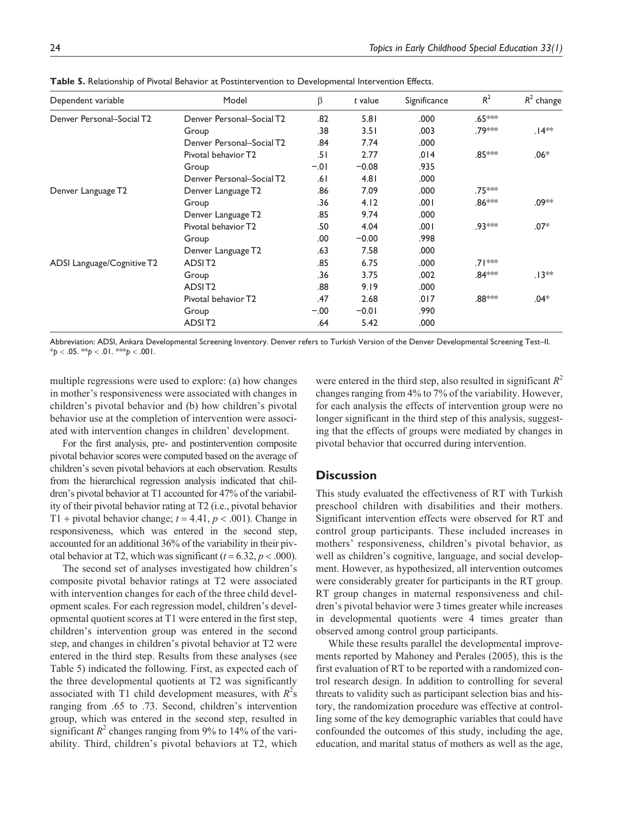| Dependent variable         | Model                     | β      | t value | Significance | $R^2$              | $R^2$ change |
|----------------------------|---------------------------|--------|---------|--------------|--------------------|--------------|
| Denver Personal-Social T2  | Denver Personal-Social T2 | .82    | 5.81    | .000         | .65 <sup>***</sup> |              |
|                            | Group                     | .38    | 3.51    | .003         | .79***             | .14**        |
|                            | Denver Personal-Social T2 | .84    | 7.74    | .000         |                    |              |
|                            | Pivotal behavior T2       | .51    | 2.77    | .014         | .85 ***            | $.06*$       |
|                            | Group                     | $-.01$ | $-0.08$ | .935         |                    |              |
|                            | Denver Personal-Social T2 | .61    | 4.81    | .000         |                    |              |
| Denver Language T2         | Denver Language T2        | .86    | 7.09    | .000         | .75 ***            |              |
|                            | Group                     | .36    | 4.12    | .001         | .86 <sup>***</sup> | .09**        |
|                            | Denver Language T2        | .85    | 9.74    | .000         |                    |              |
|                            | Pivotal behavior T2       | .50    | 4.04    | .001         | .93 ***            | $.07*$       |
|                            | Group                     | .00    | $-0.00$ | .998         |                    |              |
| ADSI Language/Cognitive T2 | Denver Language T2        | .63    | 7.58    | .000         |                    |              |
|                            | ADSIT <sub>2</sub>        | .85    | 6.75    | .000         | .71***             |              |
|                            | Group                     | .36    | 3.75    | .002         | .84 <sup>***</sup> | .13**        |
|                            | ADSIT <sub>2</sub>        | .88    | 9.19    | .000         |                    |              |
|                            | Pivotal behavior T2       | .47    | 2.68    | .017         | .88 <sup>***</sup> | $.04*$       |
|                            | Group                     | $-.00$ | $-0.01$ | .990         |                    |              |
|                            | ADSIT <sub>2</sub>        | .64    | 5.42    | .000         |                    |              |

**Table 5.** Relationship of Pivotal Behavior at Postintervention to Developmental Intervention Effects.

Abbreviation: ADSI, Ankara Developmental Screening Inventory. Denver refers to Turkish Version of the Denver Developmental Screening Test–II.  $*_{p}$  < .05.  $*_{p}$  < .01.  $*_{p}$  < .001.

multiple regressions were used to explore: (a) how changes in mother's responsiveness were associated with changes in children's pivotal behavior and (b) how children's pivotal behavior use at the completion of intervention were associated with intervention changes in children' development.

For the first analysis, pre- and postintervention composite pivotal behavior scores were computed based on the average of children's seven pivotal behaviors at each observation. Results from the hierarchical regression analysis indicated that children's pivotal behavior at T1 accounted for 47% of the variability of their pivotal behavior rating at T2 (i.e., pivotal behavior T1 + pivotal behavior change;  $t = 4.41$ ,  $p < .001$ ). Change in responsiveness, which was entered in the second step, accounted for an additional 36% of the variability in their pivotal behavior at T2, which was significant  $(t = 6.32, p < .000)$ .

The second set of analyses investigated how children's composite pivotal behavior ratings at T2 were associated with intervention changes for each of the three child development scales. For each regression model, children's developmental quotient scores at T1 were entered in the first step, children's intervention group was entered in the second step, and changes in children's pivotal behavior at T2 were entered in the third step. Results from these analyses (see Table 5) indicated the following. First, as expected each of the three developmental quotients at T2 was significantly associated with T1 child development measures, with  $R^2$ s ranging from .65 to .73. Second, children's intervention group, which was entered in the second step, resulted in significant  $R^2$  changes ranging from 9% to 14% of the variability. Third, children's pivotal behaviors at T2, which

were entered in the third step, also resulted in significant  $R^2$ changes ranging from 4% to 7% of the variability. However, for each analysis the effects of intervention group were no longer significant in the third step of this analysis, suggesting that the effects of groups were mediated by changes in pivotal behavior that occurred during intervention.

## **Discussion**

This study evaluated the effectiveness of RT with Turkish preschool children with disabilities and their mothers. Significant intervention effects were observed for RT and control group participants. These included increases in mothers' responsiveness, children's pivotal behavior, as well as children's cognitive, language, and social development. However, as hypothesized, all intervention outcomes were considerably greater for participants in the RT group. RT group changes in maternal responsiveness and children's pivotal behavior were 3 times greater while increases in developmental quotients were 4 times greater than observed among control group participants.

While these results parallel the developmental improvements reported by Mahoney and Perales (2005), this is the first evaluation of RT to be reported with a randomized control research design. In addition to controlling for several threats to validity such as participant selection bias and history, the randomization procedure was effective at controlling some of the key demographic variables that could have confounded the outcomes of this study, including the age, education, and marital status of mothers as well as the age,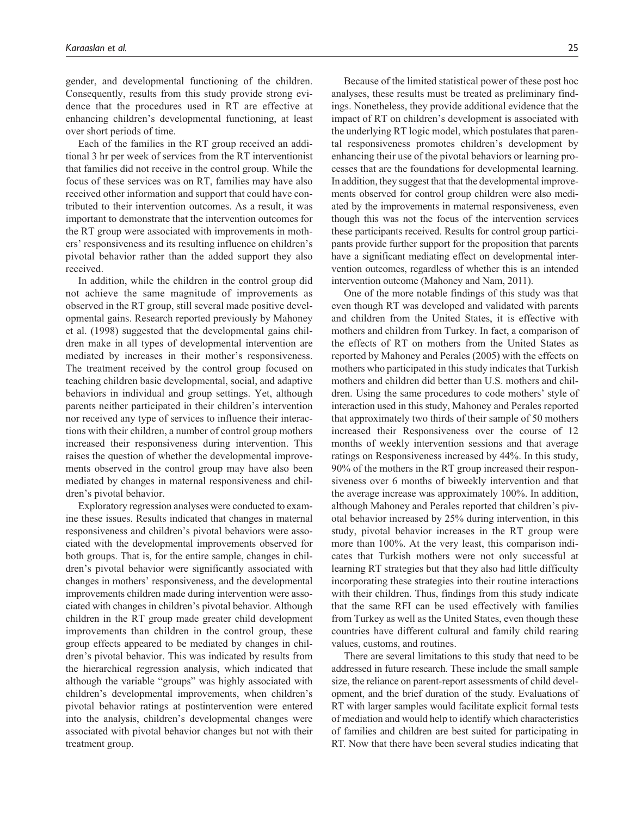gender, and developmental functioning of the children. Consequently, results from this study provide strong evidence that the procedures used in RT are effective at enhancing children's developmental functioning, at least over short periods of time.

Each of the families in the RT group received an additional 3 hr per week of services from the RT interventionist that families did not receive in the control group. While the focus of these services was on RT, families may have also received other information and support that could have contributed to their intervention outcomes. As a result, it was important to demonstrate that the intervention outcomes for the RT group were associated with improvements in mothers' responsiveness and its resulting influence on children's pivotal behavior rather than the added support they also received.

In addition, while the children in the control group did not achieve the same magnitude of improvements as observed in the RT group, still several made positive developmental gains. Research reported previously by Mahoney et al. (1998) suggested that the developmental gains children make in all types of developmental intervention are mediated by increases in their mother's responsiveness. The treatment received by the control group focused on teaching children basic developmental, social, and adaptive behaviors in individual and group settings. Yet, although parents neither participated in their children's intervention nor received any type of services to influence their interactions with their children, a number of control group mothers increased their responsiveness during intervention. This raises the question of whether the developmental improvements observed in the control group may have also been mediated by changes in maternal responsiveness and children's pivotal behavior.

Exploratory regression analyses were conducted to examine these issues. Results indicated that changes in maternal responsiveness and children's pivotal behaviors were associated with the developmental improvements observed for both groups. That is, for the entire sample, changes in children's pivotal behavior were significantly associated with changes in mothers' responsiveness, and the developmental improvements children made during intervention were associated with changes in children's pivotal behavior. Although children in the RT group made greater child development improvements than children in the control group, these group effects appeared to be mediated by changes in children's pivotal behavior. This was indicated by results from the hierarchical regression analysis, which indicated that although the variable "groups" was highly associated with children's developmental improvements, when children's pivotal behavior ratings at postintervention were entered into the analysis, children's developmental changes were associated with pivotal behavior changes but not with their treatment group.

Because of the limited statistical power of these post hoc analyses, these results must be treated as preliminary findings. Nonetheless, they provide additional evidence that the impact of RT on children's development is associated with the underlying RT logic model, which postulates that parental responsiveness promotes children's development by enhancing their use of the pivotal behaviors or learning processes that are the foundations for developmental learning. In addition, they suggest that that the developmental improvements observed for control group children were also mediated by the improvements in maternal responsiveness, even though this was not the focus of the intervention services these participants received. Results for control group participants provide further support for the proposition that parents have a significant mediating effect on developmental intervention outcomes, regardless of whether this is an intended intervention outcome (Mahoney and Nam, 2011).

One of the more notable findings of this study was that even though RT was developed and validated with parents and children from the United States, it is effective with mothers and children from Turkey. In fact, a comparison of the effects of RT on mothers from the United States as reported by Mahoney and Perales (2005) with the effects on mothers who participated in this study indicates that Turkish mothers and children did better than U.S. mothers and children. Using the same procedures to code mothers' style of interaction used in this study, Mahoney and Perales reported that approximately two thirds of their sample of 50 mothers increased their Responsiveness over the course of 12 months of weekly intervention sessions and that average ratings on Responsiveness increased by 44%. In this study, 90% of the mothers in the RT group increased their responsiveness over 6 months of biweekly intervention and that the average increase was approximately 100%. In addition, although Mahoney and Perales reported that children's pivotal behavior increased by 25% during intervention, in this study, pivotal behavior increases in the RT group were more than 100%. At the very least, this comparison indicates that Turkish mothers were not only successful at learning RT strategies but that they also had little difficulty incorporating these strategies into their routine interactions with their children. Thus, findings from this study indicate that the same RFI can be used effectively with families from Turkey as well as the United States, even though these countries have different cultural and family child rearing values, customs, and routines.

There are several limitations to this study that need to be addressed in future research. These include the small sample size, the reliance on parent-report assessments of child development, and the brief duration of the study. Evaluations of RT with larger samples would facilitate explicit formal tests of mediation and would help to identify which characteristics of families and children are best suited for participating in RT. Now that there have been several studies indicating that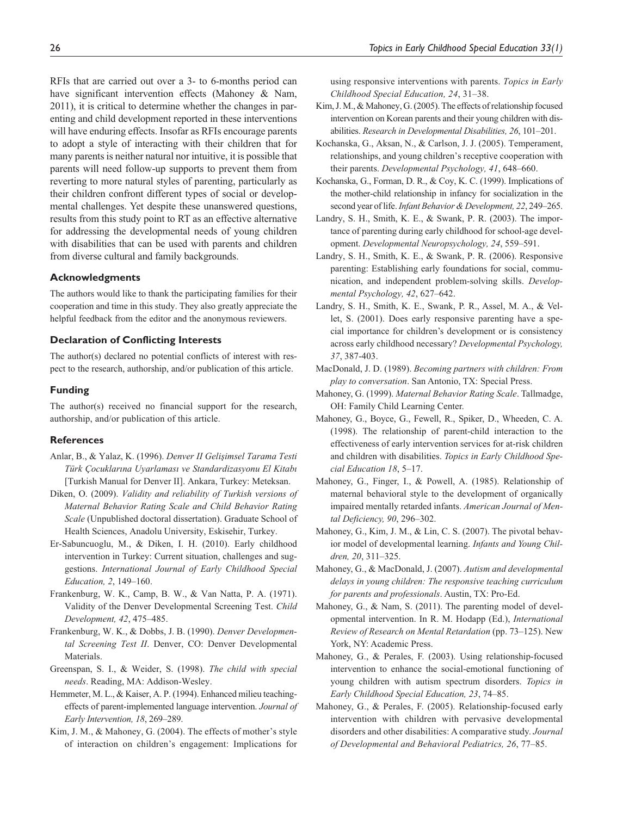RFIs that are carried out over a 3- to 6-months period can have significant intervention effects (Mahoney & Nam, 2011), it is critical to determine whether the changes in parenting and child development reported in these interventions will have enduring effects. Insofar as RFIs encourage parents to adopt a style of interacting with their children that for many parents is neither natural nor intuitive, it is possible that parents will need follow-up supports to prevent them from reverting to more natural styles of parenting, particularly as their children confront different types of social or developmental challenges. Yet despite these unanswered questions, results from this study point to RT as an effective alternative for addressing the developmental needs of young children with disabilities that can be used with parents and children from diverse cultural and family backgrounds.

## **Acknowledgments**

The authors would like to thank the participating families for their cooperation and time in this study. They also greatly appreciate the helpful feedback from the editor and the anonymous reviewers.

## **Declaration of Conflicting Interests**

The author(s) declared no potential conflicts of interest with respect to the research, authorship, and/or publication of this article.

#### **Funding**

The author(s) received no financial support for the research, authorship, and/or publication of this article.

#### **References**

- Anlar, B., & Yalaz, K. (1996). *Denver II Gelişimsel Tarama Testi Türk Çocuklarına Uyarlaması ve Standardizasyonu El Kitabı* [Turkish Manual for Denver II]. Ankara, Turkey: Meteksan.
- Diken, O. (2009). *Validity and reliability of Turkish versions of Maternal Behavior Rating Scale and Child Behavior Rating Scale* (Unpublished doctoral dissertation). Graduate School of Health Sciences, Anadolu University, Eskisehir, Turkey.
- Er-Sabuncuoglu, M., & Diken, I. H. (2010). Early childhood intervention in Turkey: Current situation, challenges and suggestions. *International Journal of Early Childhood Special Education, 2*, 149–160.
- Frankenburg, W. K., Camp, B. W., & Van Natta, P. A. (1971). Validity of the Denver Developmental Screening Test. *Child Development, 42*, 475–485.
- Frankenburg, W. K., & Dobbs, J. B. (1990). *Denver Developmental Screening Test II*. Denver, CO: Denver Developmental Materials.
- Greenspan, S. I., & Weider, S. (1998). *The child with special needs*. Reading, MA: Addison-Wesley.
- Hemmeter, M. L., & Kaiser, A. P. (1994). Enhanced milieu teachingeffects of parent-implemented language intervention. *Journal of Early Intervention, 18*, 269–289.
- Kim, J. M., & Mahoney, G. (2004). The effects of mother's style of interaction on children's engagement: Implications for

using responsive interventions with parents. *Topics in Early Childhood Special Education, 24*, 31–38.

- Kim, J. M., & Mahoney, G. (2005). The effects of relationship focused intervention on Korean parents and their young children with disabilities. *Research in Developmental Disabilities, 26*, 101–201.
- Kochanska, G., Aksan, N., & Carlson, J. J. (2005). Temperament, relationships, and young children's receptive cooperation with their parents. *Developmental Psychology, 41*, 648–660.
- Kochanska, G., Forman, D. R., & Coy, K. C. (1999). Implications of the mother-child relationship in infancy for socialization in the second year of life. *Infant Behavior & Development, 22*, 249–265.
- Landry, S. H., Smith, K. E., & Swank, P. R. (2003). The importance of parenting during early childhood for school-age development. *Developmental Neuropsychology, 24*, 559–591.
- Landry, S. H., Smith, K. E., & Swank, P. R. (2006). Responsive parenting: Establishing early foundations for social, communication, and independent problem-solving skills. *Developmental Psychology, 42*, 627–642.
- Landry, S. H., Smith, K. E., Swank, P. R., Assel, M. A., & Vellet, S. (2001). Does early responsive parenting have a special importance for children's development or is consistency across early childhood necessary? *Developmental Psychology, 37*, 387-403.
- MacDonald, J. D. (1989). *Becoming partners with children: From play to conversation*. San Antonio, TX: Special Press.
- Mahoney, G. (1999). *Maternal Behavior Rating Scale*. Tallmadge, OH: Family Child Learning Center.
- Mahoney, G., Boyce, G., Fewell, R., Spiker, D., Wheeden, C. A. (1998). The relationship of parent-child interaction to the effectiveness of early intervention services for at-risk children and children with disabilities. *Topics in Early Childhood Special Education 18*, 5–17.
- Mahoney, G., Finger, I., & Powell, A. (1985). Relationship of maternal behavioral style to the development of organically impaired mentally retarded infants. *American Journal of Mental Deficiency, 90*, 296–302.
- Mahoney, G., Kim, J. M., & Lin, C. S. (2007). The pivotal behavior model of developmental learning. *Infants and Young Children, 20*, 311–325.
- Mahoney, G., & MacDonald, J. (2007). *Autism and developmental delays in young children: The responsive teaching curriculum for parents and professionals*. Austin, TX: Pro-Ed.
- Mahoney, G., & Nam, S. (2011). The parenting model of developmental intervention. In R. M. Hodapp (Ed.), *International Review of Research on Mental Retardation* (pp. 73–125). New York, NY: Academic Press.
- Mahoney, G., & Perales, F. (2003). Using relationship-focused intervention to enhance the social-emotional functioning of young children with autism spectrum disorders. *Topics in Early Childhood Special Education, 23*, 74–85.
- Mahoney, G., & Perales, F. (2005). Relationship-focused early intervention with children with pervasive developmental disorders and other disabilities: A comparative study. *Journal of Developmental and Behavioral Pediatrics, 26*, 77–85.